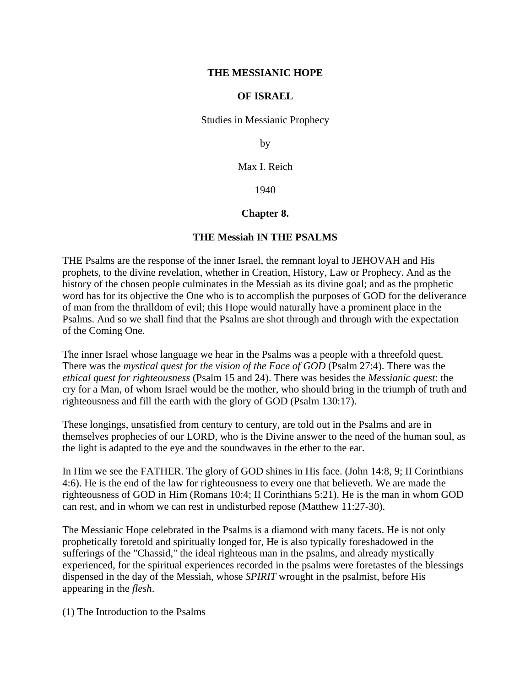#### **THE MESSIANIC HOPE**

### **OF ISRAEL**

Studies in Messianic Prophecy

by

Max I. Reich

1940

## **Chapter 8.**

### **THE Messiah IN THE PSALMS**

THE Psalms are the response of the inner Israel, the remnant loyal to JEHOVAH and His prophets, to the divine revelation, whether in Creation, History, Law or Prophecy. And as the history of the chosen people culminates in the Messiah as its divine goal; and as the prophetic word has for its objective the One who is to accomplish the purposes of GOD for the deliverance of man from the thralldom of evil; this Hope would naturally have a prominent place in the Psalms. And so we shall find that the Psalms are shot through and through with the expectation of the Coming One.

The inner Israel whose language we hear in the Psalms was a people with a threefold quest. There was the *mystical quest for the vision of the Face of GOD* (Psalm 27:4). There was the *ethical quest for righteousness* (Psalm 15 and 24). There was besides the *Messianic quest*: the cry for a Man, of whom Israel would be the mother, who should bring in the triumph of truth and righteousness and fill the earth with the glory of GOD (Psalm 130:17).

These longings, unsatisfied from century to century, are told out in the Psalms and are in themselves prophecies of our LORD, who is the Divine answer to the need of the human soul, as the light is adapted to the eye and the soundwaves in the ether to the ear.

In Him we see the FATHER. The glory of GOD shines in His face. (John 14:8, 9; II Corinthians 4:6). He is the end of the law for righteousness to every one that believeth. We are made the righteousness of GOD in Him (Romans 10:4; II Corinthians 5:21). He is the man in whom GOD can rest, and in whom we can rest in undisturbed repose (Matthew 11:27-30).

The Messianic Hope celebrated in the Psalms is a diamond with many facets. He is not only prophetically foretold and spiritually longed for, He is also typically foreshadowed in the sufferings of the "Chassid," the ideal righteous man in the psalms, and already mystically experienced, for the spiritual experiences recorded in the psalms were foretastes of the blessings dispensed in the day of the Messiah, whose *SPIRIT* wrought in the psalmist, before His appearing in the *flesh*.

(1) The Introduction to the Psalms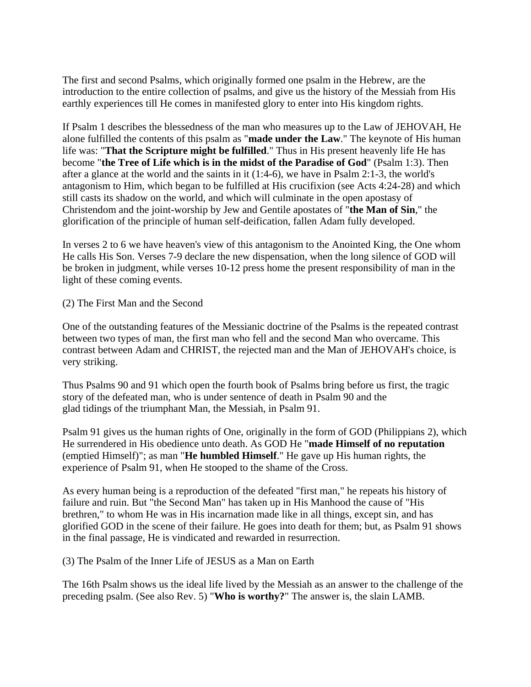The first and second Psalms, which originally formed one psalm in the Hebrew, are the introduction to the entire collection of psalms, and give us the history of the Messiah from His earthly experiences till He comes in manifested glory to enter into His kingdom rights.

If Psalm 1 describes the blessedness of the man who measures up to the Law of JEHOVAH, He alone fulfilled the contents of this psalm as "**made under the Law**." The keynote of His human life was: "**That the Scripture might be fulfilled**." Thus in His present heavenly life He has become "**the Tree of Life which is in the midst of the Paradise of God**" (Psalm 1:3). Then after a glance at the world and the saints in it (1:4-6), we have in Psalm 2:1-3, the world's antagonism to Him, which began to be fulfilled at His crucifixion (see Acts 4:24-28) and which still casts its shadow on the world, and which will culminate in the open apostasy of Christendom and the joint-worship by Jew and Gentile apostates of "**the Man of Sin**," the glorification of the principle of human self-deification, fallen Adam fully developed.

In verses 2 to 6 we have heaven's view of this antagonism to the Anointed King, the One whom He calls His Son. Verses 7-9 declare the new dispensation, when the long silence of GOD will be broken in judgment, while verses 10-12 press home the present responsibility of man in the light of these coming events.

(2) The First Man and the Second

One of the outstanding features of the Messianic doctrine of the Psalms is the repeated contrast between two types of man, the first man who fell and the second Man who overcame. This contrast between Adam and CHRIST, the rejected man and the Man of JEHOVAH's choice, is very striking.

Thus Psalms 90 and 91 which open the fourth book of Psalms bring before us first, the tragic story of the defeated man, who is under sentence of death in Psalm 90 and the glad tidings of the triumphant Man, the Messiah, in Psalm 91.

Psalm 91 gives us the human rights of One, originally in the form of GOD (Philippians 2), which He surrendered in His obedience unto death. As GOD He "**made Himself of no reputation** (emptied Himself)"; as man "**He humbled Himself**." He gave up His human rights, the experience of Psalm 91, when He stooped to the shame of the Cross.

As every human being is a reproduction of the defeated "first man," he repeats his history of failure and ruin. But "the Second Man" has taken up in His Manhood the cause of "His brethren," to whom He was in His incarnation made like in all things, except sin, and has glorified GOD in the scene of their failure. He goes into death for them; but, as Psalm 91 shows in the final passage, He is vindicated and rewarded in resurrection.

(3) The Psalm of the Inner Life of JESUS as a Man on Earth

The 16th Psalm shows us the ideal life lived by the Messiah as an answer to the challenge of the preceding psalm. (See also Rev. 5) "**Who is worthy?**" The answer is, the slain LAMB.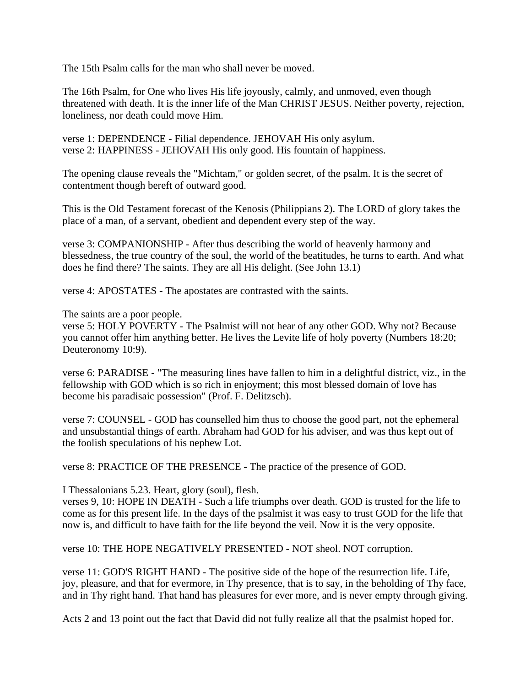The 15th Psalm calls for the man who shall never be moved.

The 16th Psalm, for One who lives His life joyously, calmly, and unmoved, even though threatened with death. It is the inner life of the Man CHRIST JESUS. Neither poverty, rejection, loneliness, nor death could move Him.

verse 1: DEPENDENCE - Filial dependence. JEHOVAH His only asylum. verse 2: HAPPINESS - JEHOVAH His only good. His fountain of happiness.

The opening clause reveals the "Michtam," or golden secret, of the psalm. It is the secret of contentment though bereft of outward good.

This is the Old Testament forecast of the Kenosis (Philippians 2). The LORD of glory takes the place of a man, of a servant, obedient and dependent every step of the way.

verse 3: COMPANIONSHIP - After thus describing the world of heavenly harmony and blessedness, the true country of the soul, the world of the beatitudes, he turns to earth. And what does he find there? The saints. They are all His delight. (See John 13.1)

verse 4: APOSTATES - The apostates are contrasted with the saints.

The saints are a poor people.

verse 5: HOLY POVERTY - The Psalmist will not hear of any other GOD. Why not? Because you cannot offer him anything better. He lives the Levite life of holy poverty (Numbers 18:20; Deuteronomy 10:9).

verse 6: PARADISE - "The measuring lines have fallen to him in a delightful district, viz., in the fellowship with GOD which is so rich in enjoyment; this most blessed domain of love has become his paradisaic possession" (Prof. F. Delitzsch).

verse 7: COUNSEL - GOD has counselled him thus to choose the good part, not the ephemeral and unsubstantial things of earth. Abraham had GOD for his adviser, and was thus kept out of the foolish speculations of his nephew Lot.

verse 8: PRACTICE OF THE PRESENCE - The practice of the presence of GOD.

I Thessalonians 5.23. Heart, glory (soul), flesh.

verses 9, 10: HOPE IN DEATH - Such a life triumphs over death. GOD is trusted for the life to come as for this present life. In the days of the psalmist it was easy to trust GOD for the life that now is, and difficult to have faith for the life beyond the veil. Now it is the very opposite.

verse 10: THE HOPE NEGATIVELY PRESENTED - NOT sheol. NOT corruption.

verse 11: GOD'S RIGHT HAND - The positive side of the hope of the resurrection life. Life, joy, pleasure, and that for evermore, in Thy presence, that is to say, in the beholding of Thy face, and in Thy right hand. That hand has pleasures for ever more, and is never empty through giving.

Acts 2 and 13 point out the fact that David did not fully realize all that the psalmist hoped for.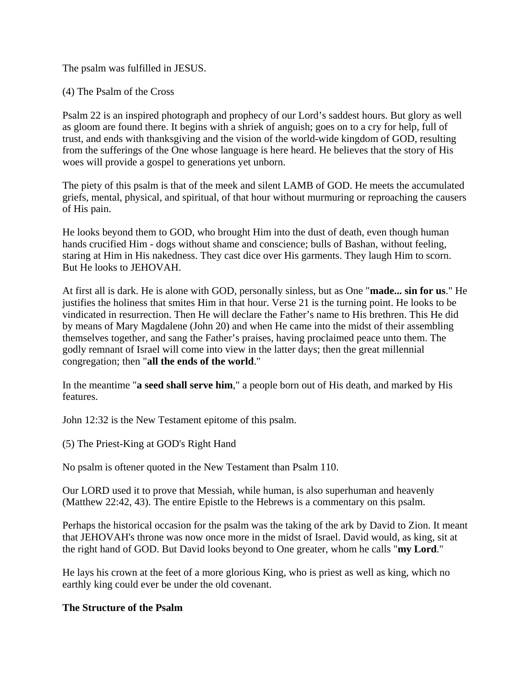The psalm was fulfilled in JESUS.

(4) The Psalm of the Cross

Psalm 22 is an inspired photograph and prophecy of our Lord's saddest hours. But glory as well as gloom are found there. It begins with a shriek of anguish; goes on to a cry for help, full of trust, and ends with thanksgiving and the vision of the world-wide kingdom of GOD, resulting from the sufferings of the One whose language is here heard. He believes that the story of His woes will provide a gospel to generations yet unborn.

The piety of this psalm is that of the meek and silent LAMB of GOD. He meets the accumulated griefs, mental, physical, and spiritual, of that hour without murmuring or reproaching the causers of His pain.

He looks beyond them to GOD, who brought Him into the dust of death, even though human hands crucified Him - dogs without shame and conscience; bulls of Bashan, without feeling, staring at Him in His nakedness. They cast dice over His garments. They laugh Him to scorn. But He looks to JEHOVAH.

At first all is dark. He is alone with GOD, personally sinless, but as One "**made... sin for us**." He justifies the holiness that smites Him in that hour. Verse 21 is the turning point. He looks to be vindicated in resurrection. Then He will declare the Father's name to His brethren. This He did by means of Mary Magdalene (John 20) and when He came into the midst of their assembling themselves together, and sang the Father's praises, having proclaimed peace unto them. The godly remnant of Israel will come into view in the latter days; then the great millennial congregation; then "**all the ends of the world**."

In the meantime "**a seed shall serve him**," a people born out of His death, and marked by His features.

John 12:32 is the New Testament epitome of this psalm.

(5) The Priest-King at GOD's Right Hand

No psalm is oftener quoted in the New Testament than Psalm 110.

Our LORD used it to prove that Messiah, while human, is also superhuman and heavenly (Matthew 22:42, 43). The entire Epistle to the Hebrews is a commentary on this psalm.

Perhaps the historical occasion for the psalm was the taking of the ark by David to Zion. It meant that JEHOVAH's throne was now once more in the midst of Israel. David would, as king, sit at the right hand of GOD. But David looks beyond to One greater, whom he calls "**my Lord**."

He lays his crown at the feet of a more glorious King, who is priest as well as king, which no earthly king could ever be under the old covenant.

# **The Structure of the Psalm**